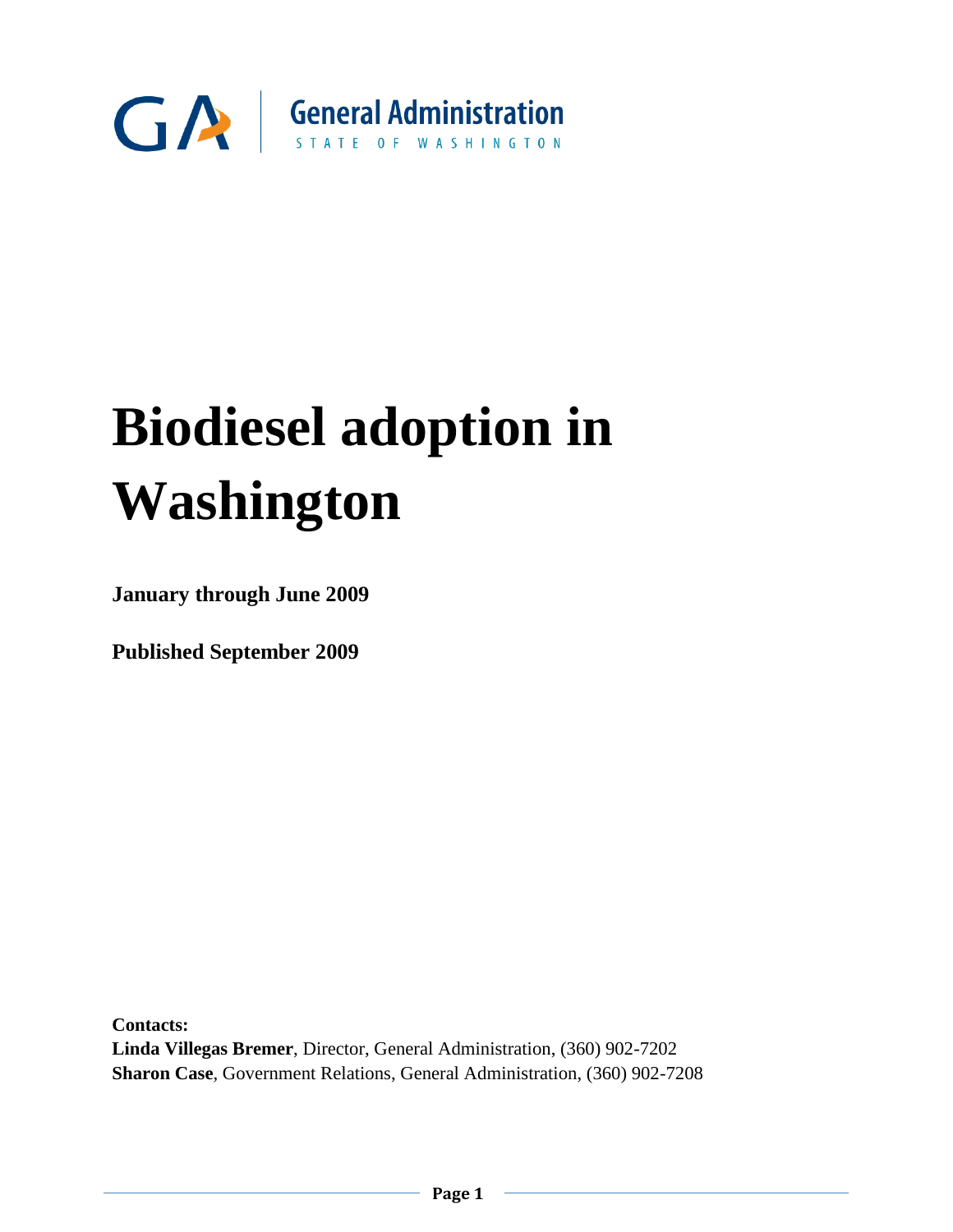

# **Biodiesel adoption in Washington**

**January through June 2009**

**Published September 2009**

**Contacts: Linda Villegas Bremer**, Director, General Administration, (360) 902-7202 **Sharon Case**, Government Relations, General Administration, (360) 902-7208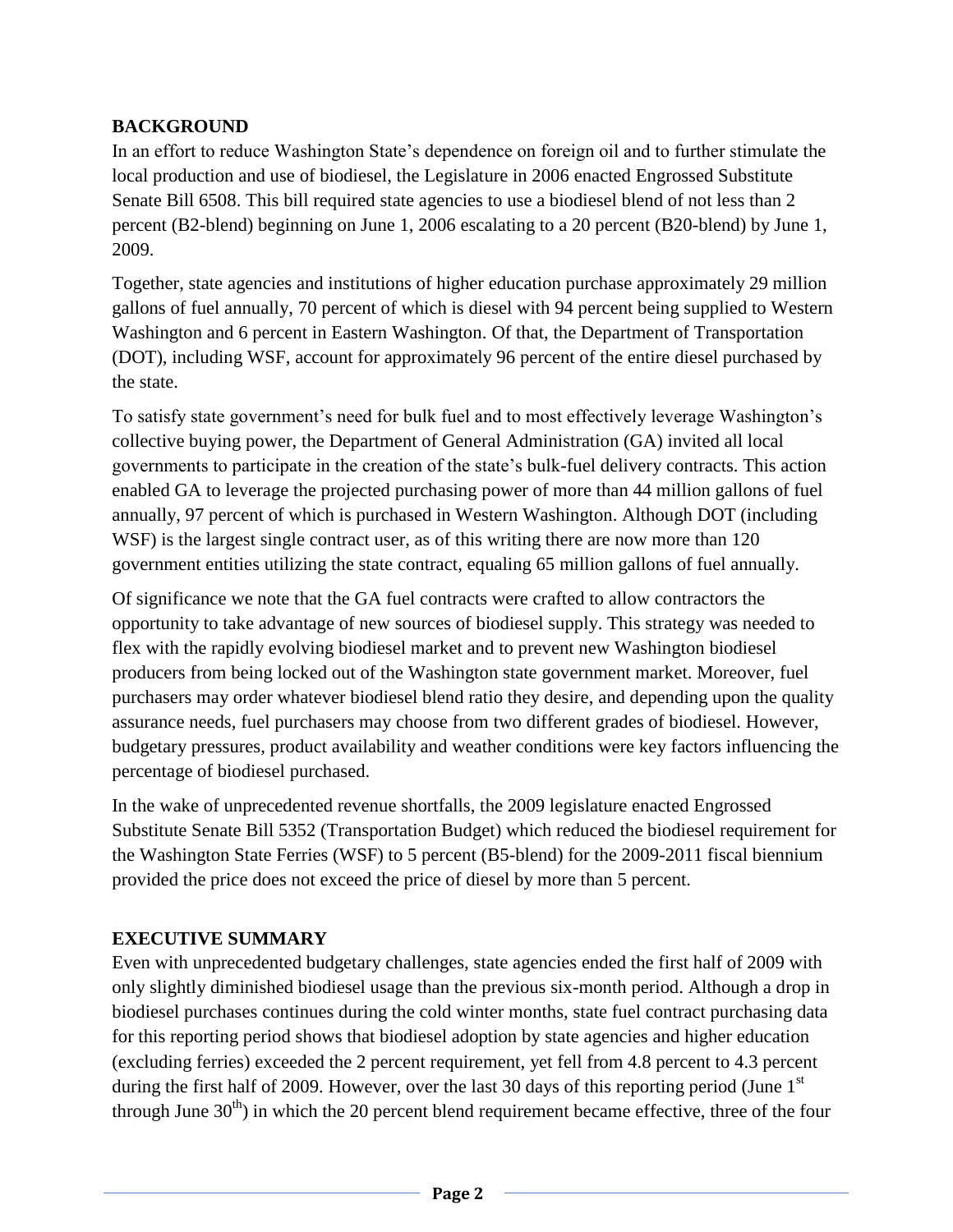## **BACKGROUND**

In an effort to reduce Washington State's dependence on foreign oil and to further stimulate the local production and use of biodiesel, the Legislature in 2006 enacted Engrossed Substitute Senate Bill 6508. This bill required state agencies to use a biodiesel blend of not less than 2 percent (B2-blend) beginning on June 1, 2006 escalating to a 20 percent (B20-blend) by June 1, 2009.

Together, state agencies and institutions of higher education purchase approximately 29 million gallons of fuel annually, 70 percent of which is diesel with 94 percent being supplied to Western Washington and 6 percent in Eastern Washington. Of that, the Department of Transportation (DOT), including WSF, account for approximately 96 percent of the entire diesel purchased by the state.

To satisfy state government's need for bulk fuel and to most effectively leverage Washington's collective buying power, the Department of General Administration (GA) invited all local governments to participate in the creation of the state's bulk-fuel delivery contracts. This action enabled GA to leverage the projected purchasing power of more than 44 million gallons of fuel annually, 97 percent of which is purchased in Western Washington. Although DOT (including WSF) is the largest single contract user, as of this writing there are now more than 120 government entities utilizing the state contract, equaling 65 million gallons of fuel annually.

Of significance we note that the GA fuel contracts were crafted to allow contractors the opportunity to take advantage of new sources of biodiesel supply. This strategy was needed to flex with the rapidly evolving biodiesel market and to prevent new Washington biodiesel producers from being locked out of the Washington state government market. Moreover, fuel purchasers may order whatever biodiesel blend ratio they desire, and depending upon the quality assurance needs, fuel purchasers may choose from two different grades of biodiesel. However, budgetary pressures, product availability and weather conditions were key factors influencing the percentage of biodiesel purchased.

In the wake of unprecedented revenue shortfalls, the 2009 legislature enacted Engrossed Substitute Senate Bill 5352 (Transportation Budget) which reduced the biodiesel requirement for the Washington State Ferries (WSF) to 5 percent (B5-blend) for the 2009-2011 fiscal biennium provided the price does not exceed the price of diesel by more than 5 percent.

## **EXECUTIVE SUMMARY**

Even with unprecedented budgetary challenges, state agencies ended the first half of 2009 with only slightly diminished biodiesel usage than the previous six-month period. Although a drop in biodiesel purchases continues during the cold winter months, state fuel contract purchasing data for this reporting period shows that biodiesel adoption by state agencies and higher education (excluding ferries) exceeded the 2 percent requirement, yet fell from 4.8 percent to 4.3 percent during the first half of 2009. However, over the last 30 days of this reporting period (June  $1<sup>st</sup>$ through June  $30<sup>th</sup>$ ) in which the 20 percent blend requirement became effective, three of the four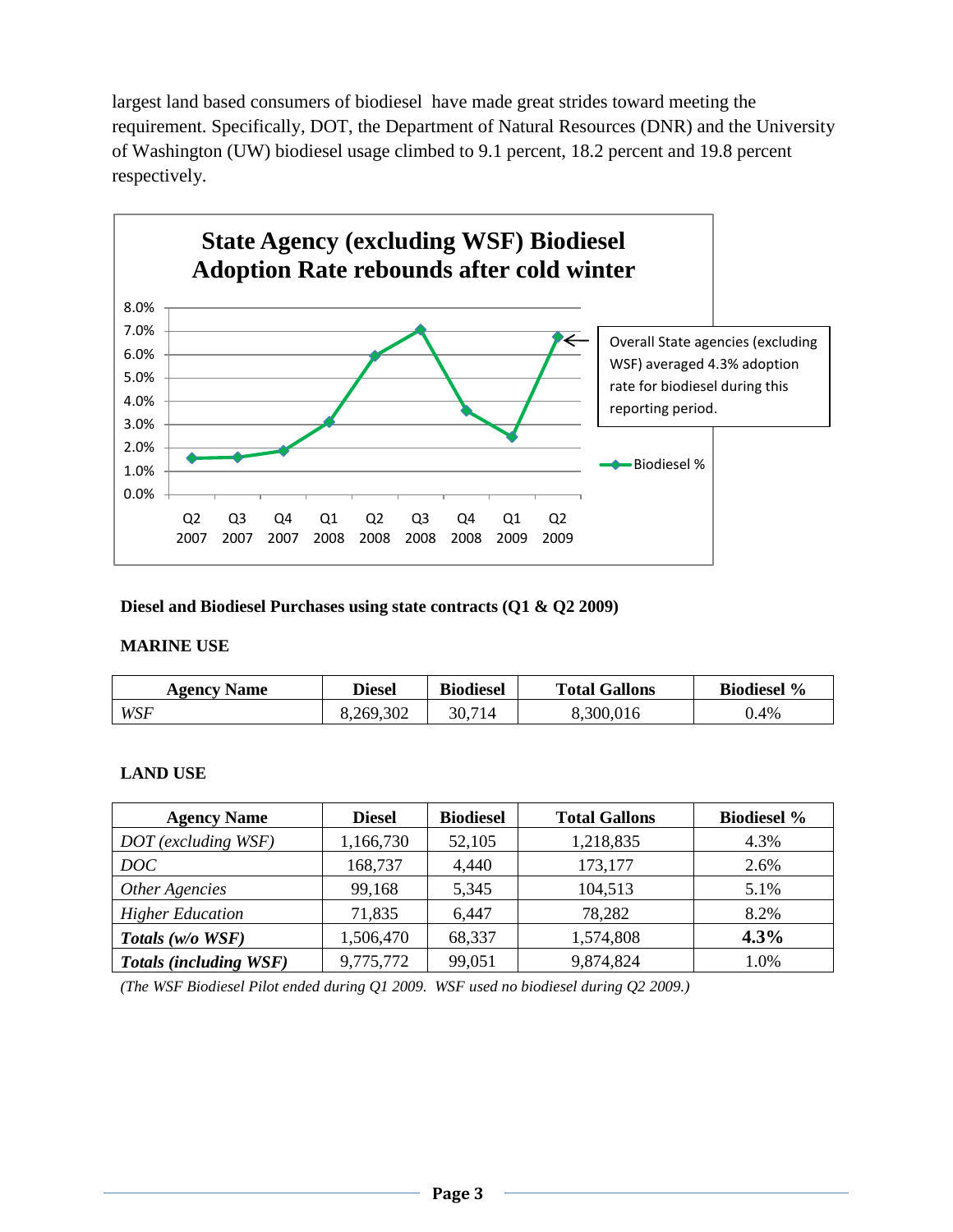largest land based consumers of biodiesel have made great strides toward meeting the requirement. Specifically, DOT, the Department of Natural Resources (DNR) and the University of Washington (UW) biodiesel usage climbed to 9.1 percent, 18.2 percent and 19.8 percent respectively.



#### **Diesel and Biodiesel Purchases using state contracts (Q1 & Q2 2009)**

#### **MARINE USE**

| <b>Agency Name</b> | <b>Diesel</b> | <b>Biodiesel</b> | <b>Total Gallons</b> | <b>Biodiesel</b> % |
|--------------------|---------------|------------------|----------------------|--------------------|
| WSF                | 8,269,302     | 30,714           | 8,300'<br>.016       | 0.4%               |

#### **LAND USE**

| <b>Agency Name</b>            | <b>Diesel</b> | <b>Biodiesel</b> | <b>Total Gallons</b> | <b>Biodiesel %</b> |
|-------------------------------|---------------|------------------|----------------------|--------------------|
| DOT (excluding WSF)           | 1,166,730     | 52,105           | 1,218,835            | 4.3%               |
| DOC                           | 168,737       | 4,440            | 173,177              | 2.6%               |
| Other Agencies                | 99,168        | 5,345            | 104,513              | 5.1%               |
| <b>Higher Education</b>       | 71,835        | 6,447            | 78,282               | 8.2%               |
| Totals (w/o WSF)              | 1,506,470     | 68,337           | 1,574,808            | 4.3%               |
| <b>Totals (including WSF)</b> | 9,775,772     | 99,051           | 9,874,824            | 1.0%               |

*(The WSF Biodiesel Pilot ended during Q1 2009. WSF used no biodiesel during Q2 2009.)*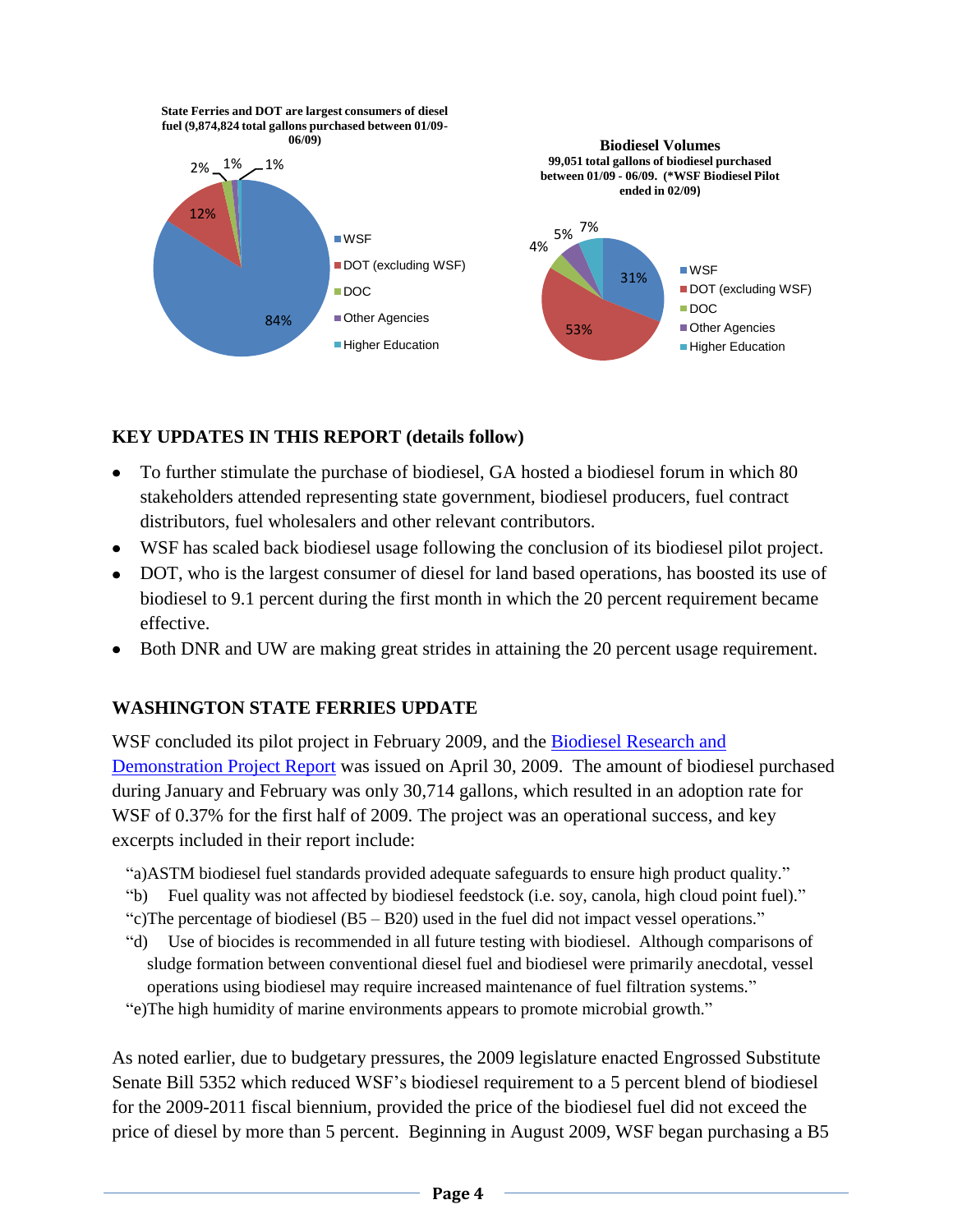

## **KEY UPDATES IN THIS REPORT (details follow)**

- To further stimulate the purchase of biodiesel, GA hosted a biodiesel forum in which 80 stakeholders attended representing state government, biodiesel producers, fuel contract distributors, fuel wholesalers and other relevant contributors.
- WSF has scaled back biodiesel usage following the conclusion of its biodiesel pilot project.
- DOT, who is the largest consumer of diesel for land based operations, has boosted its use of biodiesel to 9.1 percent during the first month in which the 20 percent requirement became effective.
- Both DNR and UW are making great strides in attaining the 20 percent usage requirement.  $\bullet$

## **WASHINGTON STATE FERRIES UPDATE**

WSF concluded its pilot project in February 2009, and the [Biodiesel Research and](http://www.wsdot.wa.gov/NR/rdonlyres/EC1D3BCF-928D-4167-90C9-69134B644768/0/ExecutiveSummary.pdf)  [Demonstration Project Report](http://www.wsdot.wa.gov/NR/rdonlyres/EC1D3BCF-928D-4167-90C9-69134B644768/0/ExecutiveSummary.pdf) was issued on April 30, 2009. The amount of biodiesel purchased during January and February was only 30,714 gallons, which resulted in an adoption rate for WSF of 0.37% for the first half of 2009. The project was an operational success, and key excerpts included in their report include:

- "a)ASTM biodiesel fuel standards provided adequate safeguards to ensure high product quality."
- "b) Fuel quality was not affected by biodiesel feedstock (i.e. soy, canola, high cloud point fuel)."
- "c)The percentage of biodiesel  $(B5 B20)$  used in the fuel did not impact vessel operations."
- "d) Use of biocides is recommended in all future testing with biodiesel. Although comparisons of sludge formation between conventional diesel fuel and biodiesel were primarily anecdotal, vessel operations using biodiesel may require increased maintenance of fuel filtration systems."
- "e)The high humidity of marine environments appears to promote microbial growth."

As noted earlier, due to budgetary pressures, the 2009 legislature enacted Engrossed Substitute Senate Bill 5352 which reduced WSF's biodiesel requirement to a 5 percent blend of biodiesel for the 2009-2011 fiscal biennium, provided the price of the biodiesel fuel did not exceed the price of diesel by more than 5 percent. Beginning in August 2009, WSF began purchasing a B5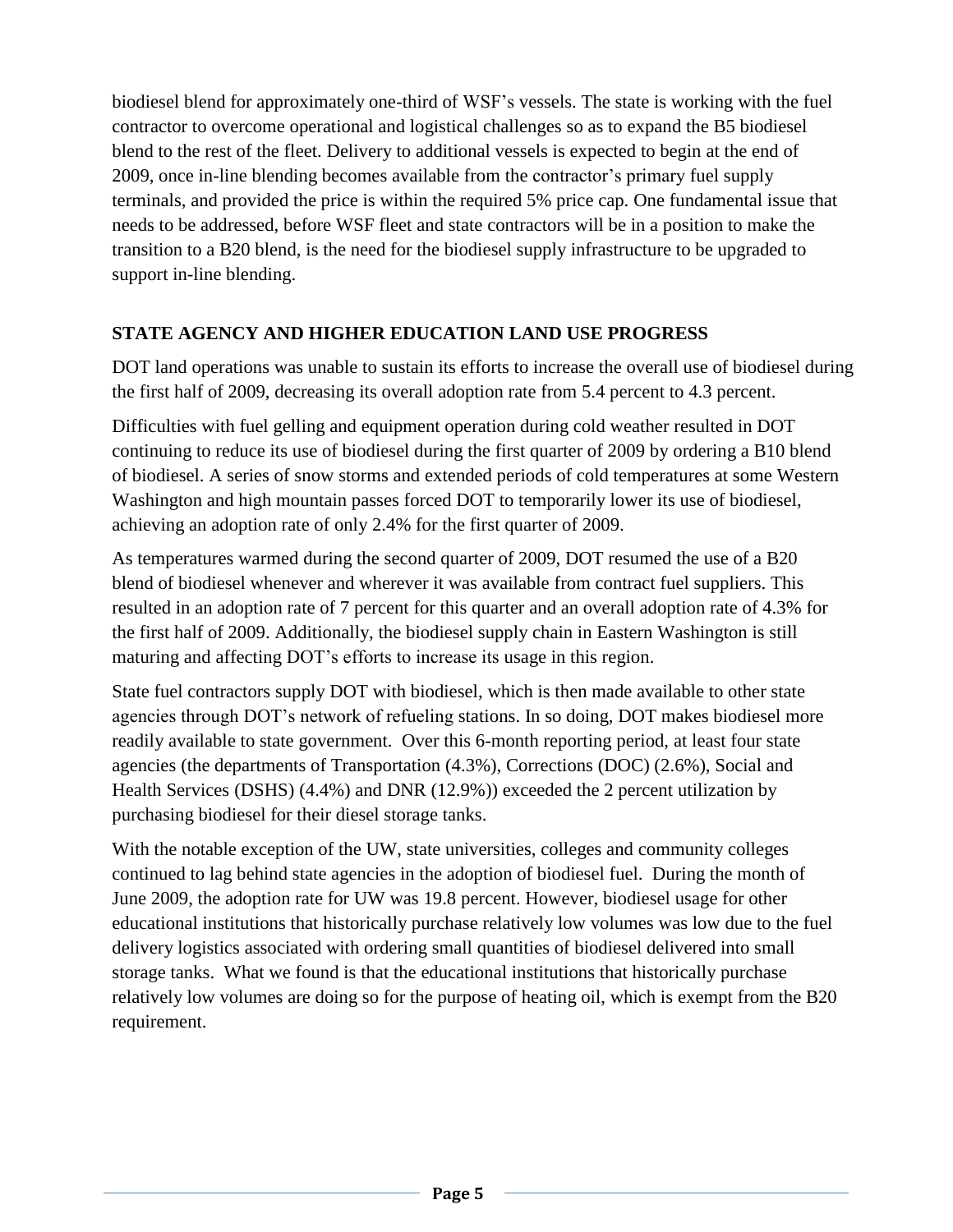biodiesel blend for approximately one-third of WSF's vessels. The state is working with the fuel contractor to overcome operational and logistical challenges so as to expand the B5 biodiesel blend to the rest of the fleet. Delivery to additional vessels is expected to begin at the end of 2009, once in-line blending becomes available from the contractor's primary fuel supply terminals, and provided the price is within the required 5% price cap. One fundamental issue that needs to be addressed, before WSF fleet and state contractors will be in a position to make the transition to a B20 blend, is the need for the biodiesel supply infrastructure to be upgraded to support in-line blending.

## **STATE AGENCY AND HIGHER EDUCATION LAND USE PROGRESS**

DOT land operations was unable to sustain its efforts to increase the overall use of biodiesel during the first half of 2009, decreasing its overall adoption rate from 5.4 percent to 4.3 percent.

Difficulties with fuel gelling and equipment operation during cold weather resulted in DOT continuing to reduce its use of biodiesel during the first quarter of 2009 by ordering a B10 blend of biodiesel. A series of snow storms and extended periods of cold temperatures at some Western Washington and high mountain passes forced DOT to temporarily lower its use of biodiesel, achieving an adoption rate of only 2.4% for the first quarter of 2009.

As temperatures warmed during the second quarter of 2009, DOT resumed the use of a B20 blend of biodiesel whenever and wherever it was available from contract fuel suppliers. This resulted in an adoption rate of 7 percent for this quarter and an overall adoption rate of 4.3% for the first half of 2009. Additionally, the biodiesel supply chain in Eastern Washington is still maturing and affecting DOT's efforts to increase its usage in this region.

State fuel contractors supply DOT with biodiesel, which is then made available to other state agencies through DOT's network of refueling stations. In so doing, DOT makes biodiesel more readily available to state government. Over this 6-month reporting period, at least four state agencies (the departments of Transportation (4.3%), Corrections (DOC) (2.6%), Social and Health Services (DSHS) (4.4%) and DNR (12.9%)) exceeded the 2 percent utilization by purchasing biodiesel for their diesel storage tanks.

With the notable exception of the UW, state universities, colleges and community colleges continued to lag behind state agencies in the adoption of biodiesel fuel. During the month of June 2009, the adoption rate for UW was 19.8 percent. However, biodiesel usage for other educational institutions that historically purchase relatively low volumes was low due to the fuel delivery logistics associated with ordering small quantities of biodiesel delivered into small storage tanks. What we found is that the educational institutions that historically purchase relatively low volumes are doing so for the purpose of heating oil, which is exempt from the B20 requirement.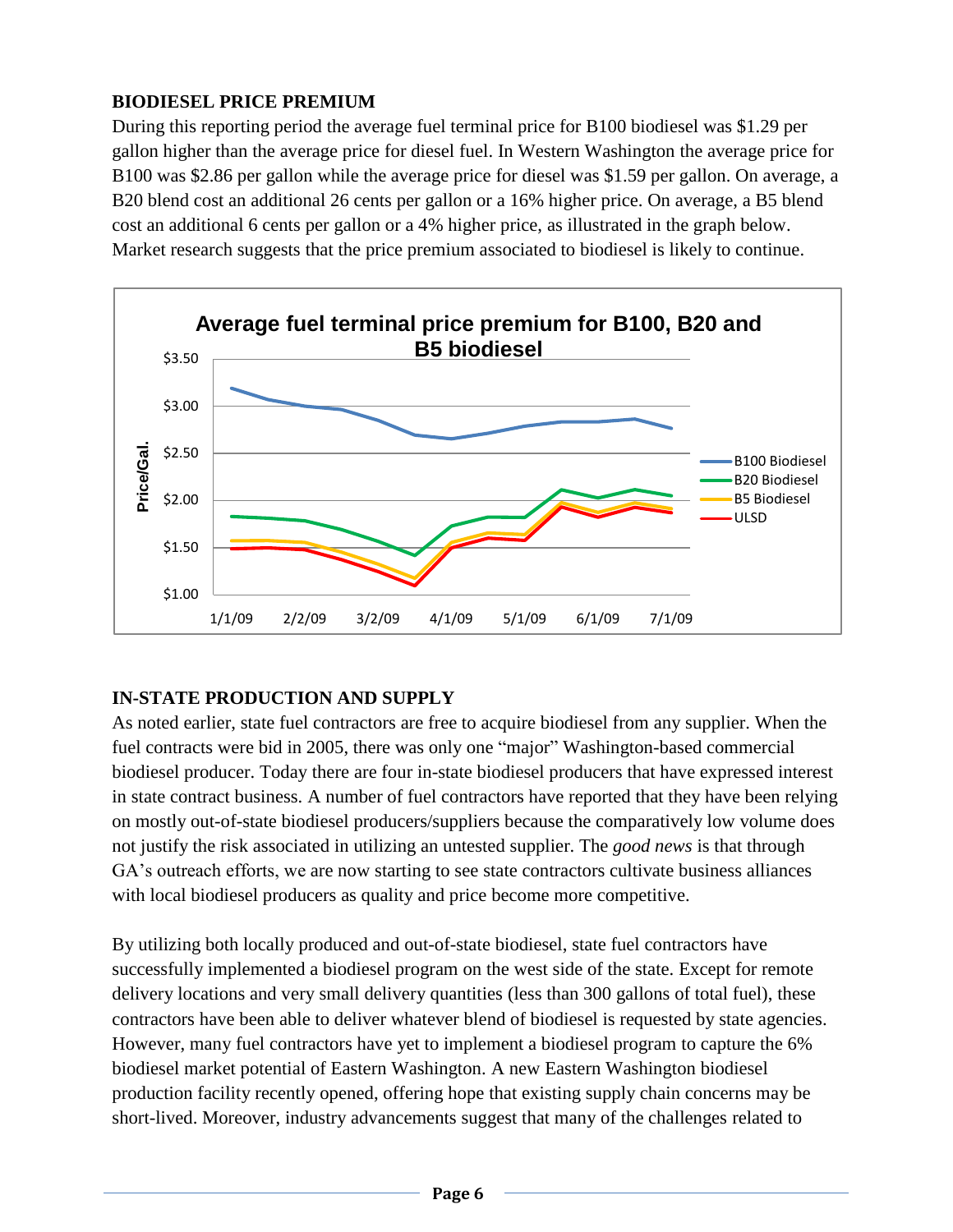# **BIODIESEL PRICE PREMIUM**

During this reporting period the average fuel terminal price for B100 biodiesel was \$1.29 per gallon higher than the average price for diesel fuel. In Western Washington the average price for B100 was \$2.86 per gallon while the average price for diesel was \$1.59 per gallon. On average, a B20 blend cost an additional 26 cents per gallon or a 16% higher price. On average, a B5 blend cost an additional 6 cents per gallon or a 4% higher price, as illustrated in the graph below. Market research suggests that the price premium associated to biodiesel is likely to continue.



# **IN-STATE PRODUCTION AND SUPPLY**

As noted earlier, state fuel contractors are free to acquire biodiesel from any supplier. When the fuel contracts were bid in 2005, there was only one "major" Washington-based commercial biodiesel producer. Today there are four in-state biodiesel producers that have expressed interest in state contract business. A number of fuel contractors have reported that they have been relying on mostly out-of-state biodiesel producers/suppliers because the comparatively low volume does not justify the risk associated in utilizing an untested supplier. The *good news* is that through GA's outreach efforts, we are now starting to see state contractors cultivate business alliances with local biodiesel producers as quality and price become more competitive.

By utilizing both locally produced and out-of-state biodiesel, state fuel contractors have successfully implemented a biodiesel program on the west side of the state. Except for remote delivery locations and very small delivery quantities (less than 300 gallons of total fuel), these contractors have been able to deliver whatever blend of biodiesel is requested by state agencies. However, many fuel contractors have yet to implement a biodiesel program to capture the 6% biodiesel market potential of Eastern Washington. A new Eastern Washington biodiesel production facility recently opened, offering hope that existing supply chain concerns may be short-lived. Moreover, industry advancements suggest that many of the challenges related to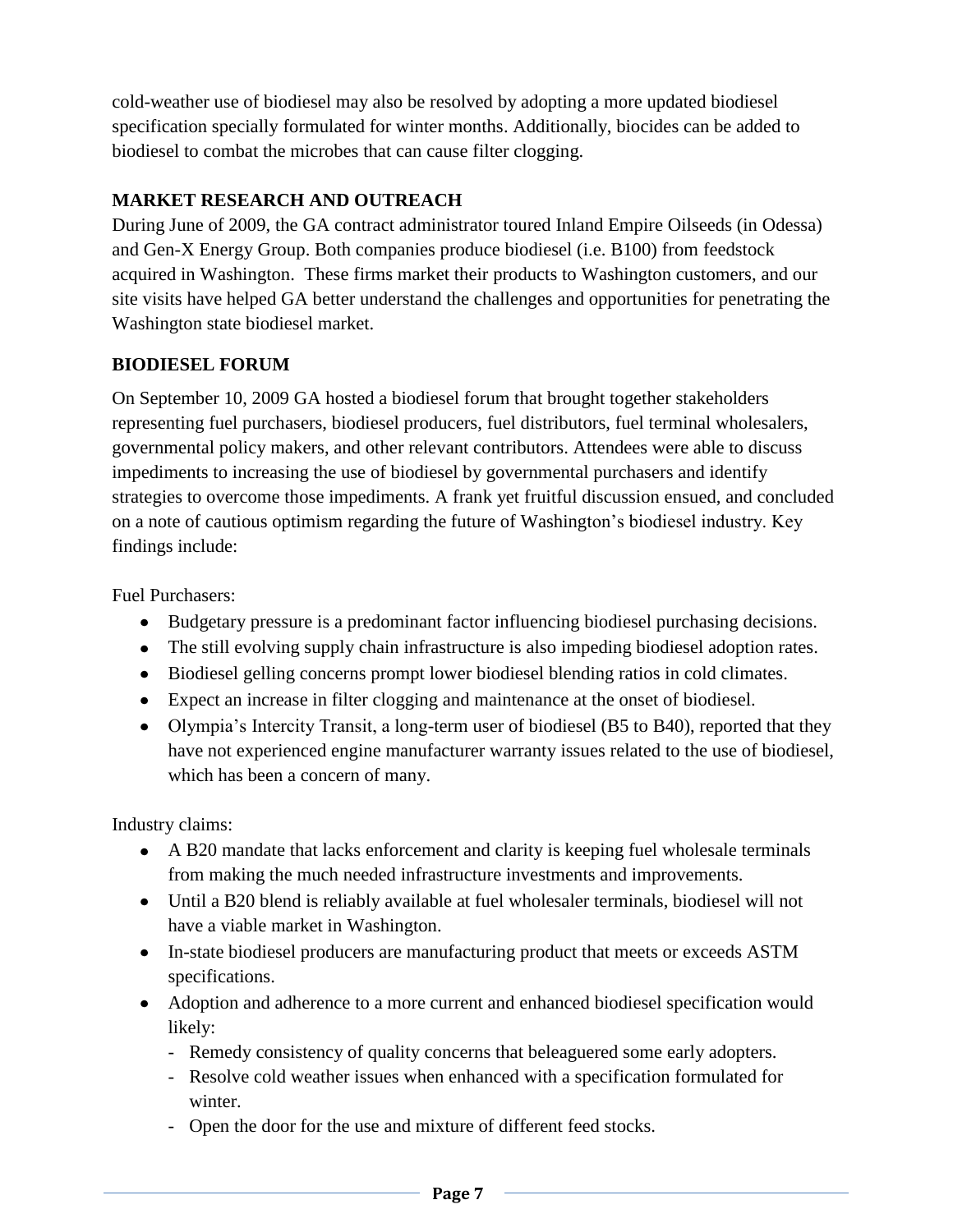cold-weather use of biodiesel may also be resolved by adopting a more updated biodiesel specification specially formulated for winter months. Additionally, biocides can be added to biodiesel to combat the microbes that can cause filter clogging.

# **MARKET RESEARCH AND OUTREACH**

During June of 2009, the GA contract administrator toured Inland Empire Oilseeds (in Odessa) and Gen-X Energy Group. Both companies produce biodiesel (i.e. B100) from feedstock acquired in Washington. These firms market their products to Washington customers, and our site visits have helped GA better understand the challenges and opportunities for penetrating the Washington state biodiesel market.

# **BIODIESEL FORUM**

On September 10, 2009 GA hosted a biodiesel forum that brought together stakeholders representing fuel purchasers, biodiesel producers, fuel distributors, fuel terminal wholesalers, governmental policy makers, and other relevant contributors. Attendees were able to discuss impediments to increasing the use of biodiesel by governmental purchasers and identify strategies to overcome those impediments. A frank yet fruitful discussion ensued, and concluded on a note of cautious optimism regarding the future of Washington's biodiesel industry. Key findings include:

Fuel Purchasers:

- Budgetary pressure is a predominant factor influencing biodiesel purchasing decisions.
- The still evolving supply chain infrastructure is also impeding biodiesel adoption rates.
- Biodiesel gelling concerns prompt lower biodiesel blending ratios in cold climates.
- Expect an increase in filter clogging and maintenance at the onset of biodiesel.
- Olympia's Intercity Transit, a long-term user of biodiesel (B5 to B40), reported that they have not experienced engine manufacturer warranty issues related to the use of biodiesel, which has been a concern of many.

Industry claims:

- A B20 mandate that lacks enforcement and clarity is keeping fuel wholesale terminals from making the much needed infrastructure investments and improvements.
- Until a B20 blend is reliably available at fuel wholesaler terminals, biodiesel will not have a viable market in Washington.
- In-state biodiesel producers are manufacturing product that meets or exceeds ASTM specifications.
- Adoption and adherence to a more current and enhanced biodiesel specification would likely:
	- Remedy consistency of quality concerns that beleaguered some early adopters.
	- Resolve cold weather issues when enhanced with a specification formulated for winter.
	- Open the door for the use and mixture of different feed stocks.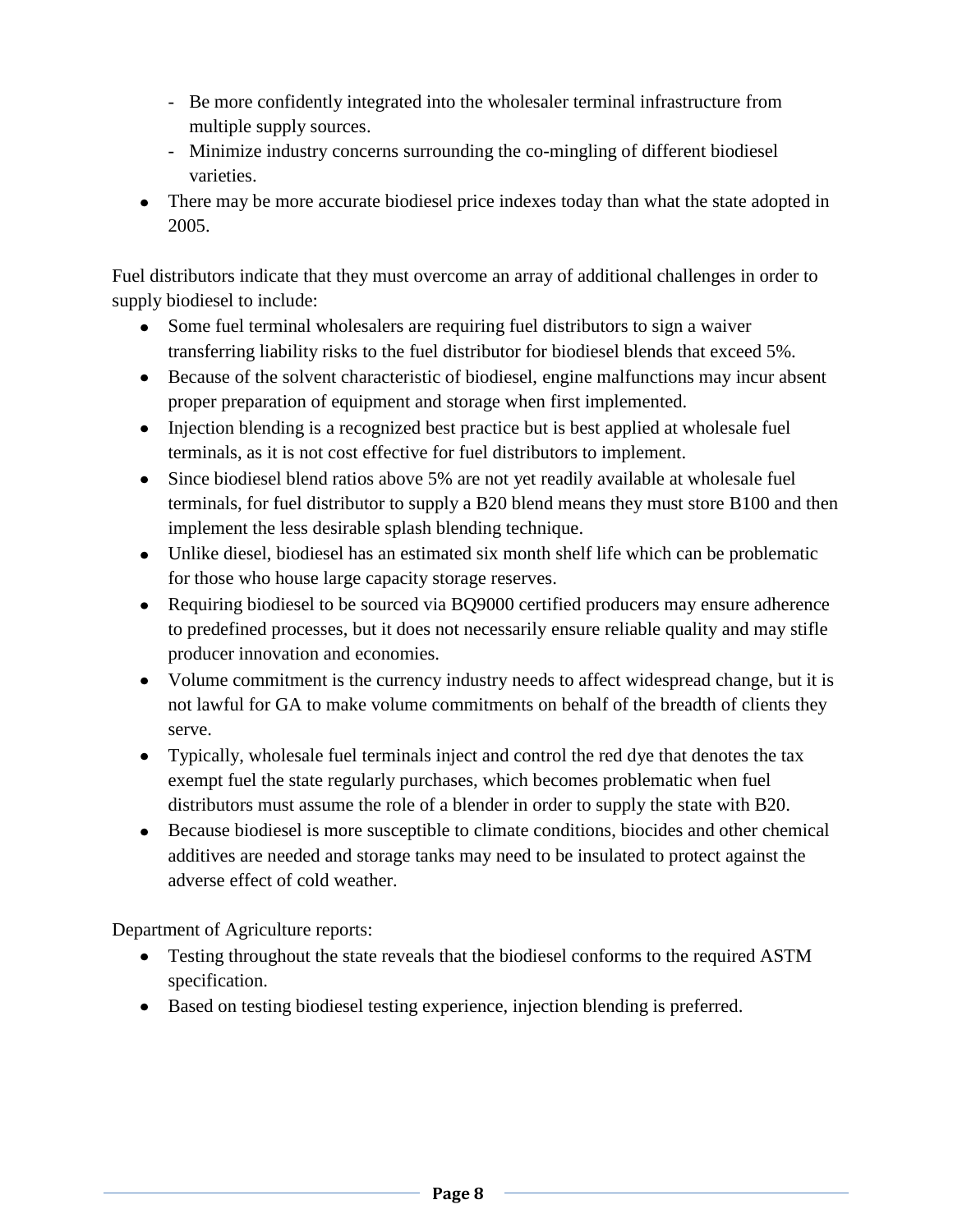- Be more confidently integrated into the wholesaler terminal infrastructure from multiple supply sources.
- Minimize industry concerns surrounding the co-mingling of different biodiesel varieties.
- There may be more accurate biodiesel price indexes today than what the state adopted in 2005.

Fuel distributors indicate that they must overcome an array of additional challenges in order to supply biodiesel to include:

- Some fuel terminal wholesalers are requiring fuel distributors to sign a waiver transferring liability risks to the fuel distributor for biodiesel blends that exceed 5%.
- Because of the solvent characteristic of biodiesel, engine malfunctions may incur absent proper preparation of equipment and storage when first implemented.
- Injection blending is a recognized best practice but is best applied at wholesale fuel terminals, as it is not cost effective for fuel distributors to implement.
- Since biodiesel blend ratios above 5% are not yet readily available at wholesale fuel terminals, for fuel distributor to supply a B20 blend means they must store B100 and then implement the less desirable splash blending technique.
- Unlike diesel, biodiesel has an estimated six month shelf life which can be problematic for those who house large capacity storage reserves.
- Requiring biodiesel to be sourced via BQ9000 certified producers may ensure adherence to predefined processes, but it does not necessarily ensure reliable quality and may stifle producer innovation and economies.
- Volume commitment is the currency industry needs to affect widespread change, but it is not lawful for GA to make volume commitments on behalf of the breadth of clients they serve.
- Typically, wholesale fuel terminals inject and control the red dye that denotes the tax exempt fuel the state regularly purchases, which becomes problematic when fuel distributors must assume the role of a blender in order to supply the state with B20.
- Because biodiesel is more susceptible to climate conditions, biocides and other chemical additives are needed and storage tanks may need to be insulated to protect against the adverse effect of cold weather.

Department of Agriculture reports:

- Testing throughout the state reveals that the biodiesel conforms to the required ASTM specification.
- Based on testing biodiesel testing experience, injection blending is preferred.